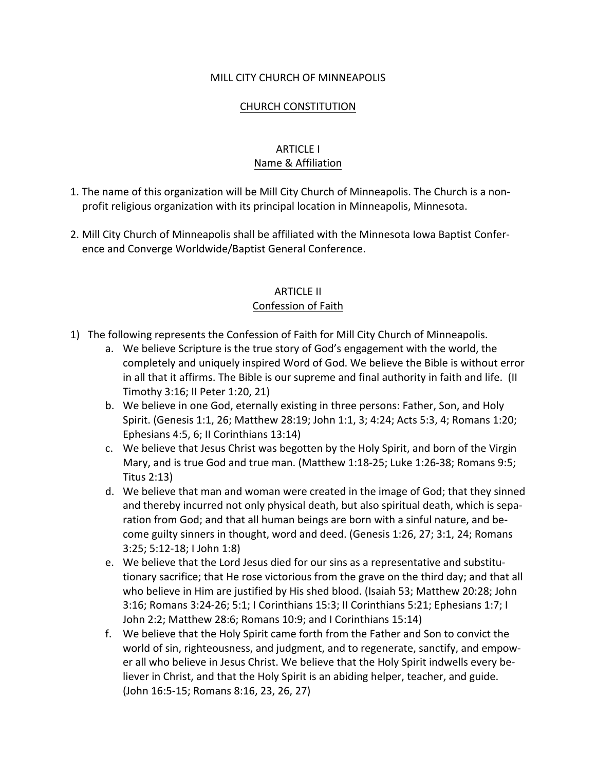#### MILL CITY CHURCH OF MINNEAPOLIS

#### CHURCH CONSTITUTION

## ARTICLE I Name & Affiliation

- 1. The name of this organization will be Mill City Church of Minneapolis. The Church is a nonprofit religious organization with its principal location in Minneapolis, Minnesota.
- 2. Mill City Church of Minneapolis shall be affiliated with the Minnesota Iowa Baptist Conference and Converge Worldwide/Baptist General Conference.

#### ARTICLE II Confession of Faith

- 1) The following represents the Confession of Faith for Mill City Church of Minneapolis.
	- a. We believe Scripture is the true story of God's engagement with the world, the completely and uniquely inspired Word of God. We believe the Bible is without error in all that it affirms. The Bible is our supreme and final authority in faith and life. (II Timothy 3:16; II Peter 1:20, 21)
	- b. We believe in one God, eternally existing in three persons: Father, Son, and Holy Spirit. (Genesis 1:1, 26; Matthew 28:19; John 1:1, 3; 4:24; Acts 5:3, 4; Romans 1:20; Ephesians 4:5, 6; II Corinthians 13:14)
	- c. We believe that Jesus Christ was begotten by the Holy Spirit, and born of the Virgin Mary, and is true God and true man. (Matthew 1:18-25; Luke 1:26-38; Romans 9:5; Titus 2:13)
	- d. We believe that man and woman were created in the image of God; that they sinned and thereby incurred not only physical death, but also spiritual death, which is separation from God; and that all human beings are born with a sinful nature, and become guilty sinners in thought, word and deed. (Genesis 1:26, 27; 3:1, 24; Romans 3:25; 5:12-18; I John 1:8)
	- e. We believe that the Lord Jesus died for our sins as a representative and substitutionary sacrifice; that He rose victorious from the grave on the third day; and that all who believe in Him are justified by His shed blood. (Isaiah 53; Matthew 20:28; John 3:16; Romans 3:24-26; 5:1; I Corinthians 15:3; II Corinthians 5:21; Ephesians 1:7; I John 2:2; Matthew 28:6; Romans 10:9; and I Corinthians 15:14)
	- f. We believe that the Holy Spirit came forth from the Father and Son to convict the world of sin, righteousness, and judgment, and to regenerate, sanctify, and empower all who believe in Jesus Christ. We believe that the Holy Spirit indwells every believer in Christ, and that the Holy Spirit is an abiding helper, teacher, and guide. (John 16:5-15; Romans 8:16, 23, 26, 27)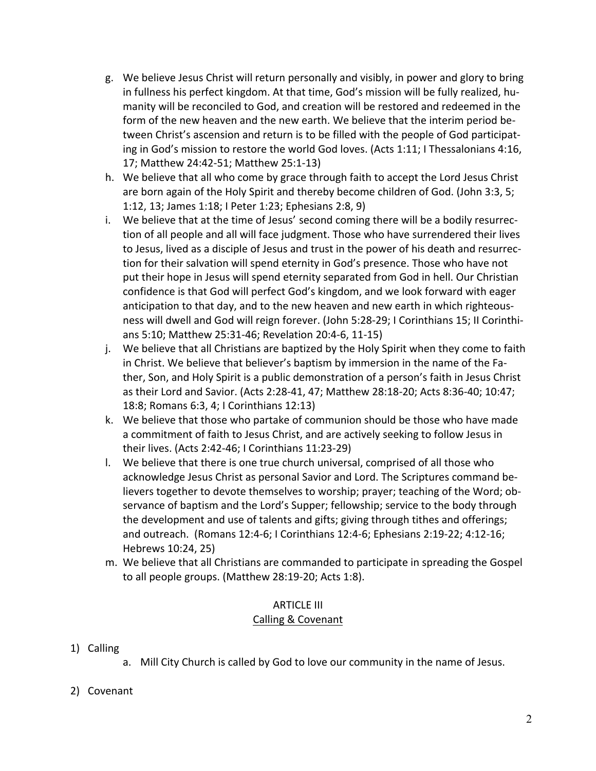- g. We believe Jesus Christ will return personally and visibly, in power and glory to bring in fullness his perfect kingdom. At that time, God's mission will be fully realized, humanity will be reconciled to God, and creation will be restored and redeemed in the form of the new heaven and the new earth. We believe that the interim period between Christ's ascension and return is to be filled with the people of God participating in God's mission to restore the world God loves. (Acts 1:11; I Thessalonians 4:16, 17; Matthew 24:42-51; Matthew 25:1-13)
- h. We believe that all who come by grace through faith to accept the Lord Jesus Christ are born again of the Holy Spirit and thereby become children of God. (John 3:3, 5; 1:12, 13; James 1:18; I Peter 1:23; Ephesians 2:8, 9)
- i. We believe that at the time of Jesus' second coming there will be a bodily resurrection of all people and all will face judgment. Those who have surrendered their lives to Jesus, lived as a disciple of Jesus and trust in the power of his death and resurrection for their salvation will spend eternity in God's presence. Those who have not put their hope in Jesus will spend eternity separated from God in hell. Our Christian confidence is that God will perfect God's kingdom, and we look forward with eager anticipation to that day, and to the new heaven and new earth in which righteousness will dwell and God will reign forever. (John 5:28-29; I Corinthians 15; II Corinthians 5:10; Matthew 25:31-46; Revelation 20:4-6, 11-15)
- j. We believe that all Christians are baptized by the Holy Spirit when they come to faith in Christ. We believe that believer's baptism by immersion in the name of the Father, Son, and Holy Spirit is a public demonstration of a person's faith in Jesus Christ as their Lord and Savior. (Acts 2:28-41, 47; Matthew 28:18-20; Acts 8:36-40; 10:47; 18:8; Romans 6:3, 4; I Corinthians 12:13)
- k. We believe that those who partake of communion should be those who have made a commitment of faith to Jesus Christ, and are actively seeking to follow Jesus in their lives. (Acts 2:42-46; I Corinthians 11:23-29)
- l. We believe that there is one true church universal, comprised of all those who acknowledge Jesus Christ as personal Savior and Lord. The Scriptures command believers together to devote themselves to worship; prayer; teaching of the Word; observance of baptism and the Lord's Supper; fellowship; service to the body through the development and use of talents and gifts; giving through tithes and offerings; and outreach. (Romans 12:4-6; I Corinthians 12:4-6; Ephesians 2:19-22; 4:12-16; Hebrews 10:24, 25)
- m. We believe that all Christians are commanded to participate in spreading the Gospel to all people groups. (Matthew 28:19-20; Acts 1:8).

#### ARTICLE III Calling & Covenant

- 1) Calling
	- a. Mill City Church is called by God to love our community in the name of Jesus.
- 2) Covenant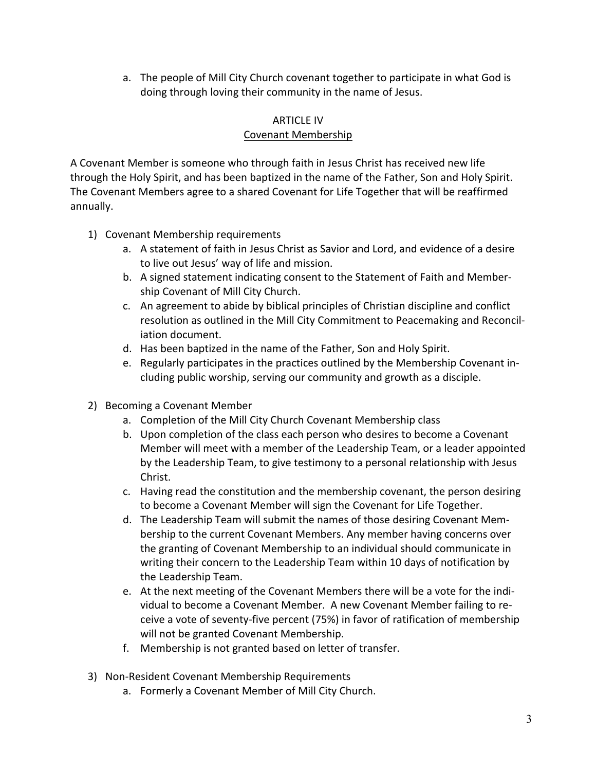a. The people of Mill City Church covenant together to participate in what God is doing through loving their community in the name of Jesus.

## ARTICLE IV

## Covenant Membership

A Covenant Member is someone who through faith in Jesus Christ has received new life through the Holy Spirit, and has been baptized in the name of the Father, Son and Holy Spirit. The Covenant Members agree to a shared Covenant for Life Together that will be reaffirmed annually.

- 1) Covenant Membership requirements
	- a. A statement of faith in Jesus Christ as Savior and Lord, and evidence of a desire to live out Jesus' way of life and mission.
	- b. A signed statement indicating consent to the Statement of Faith and Membership Covenant of Mill City Church.
	- c. An agreement to abide by biblical principles of Christian discipline and conflict resolution as outlined in the Mill City Commitment to Peacemaking and Reconciliation document.
	- d. Has been baptized in the name of the Father, Son and Holy Spirit.
	- e. Regularly participates in the practices outlined by the Membership Covenant including public worship, serving our community and growth as a disciple.
- 2) Becoming a Covenant Member
	- a. Completion of the Mill City Church Covenant Membership class
	- b. Upon completion of the class each person who desires to become a Covenant Member will meet with a member of the Leadership Team, or a leader appointed by the Leadership Team, to give testimony to a personal relationship with Jesus Christ.
	- c. Having read the constitution and the membership covenant, the person desiring to become a Covenant Member will sign the Covenant for Life Together.
	- d. The Leadership Team will submit the names of those desiring Covenant Membership to the current Covenant Members. Any member having concerns over the granting of Covenant Membership to an individual should communicate in writing their concern to the Leadership Team within 10 days of notification by the Leadership Team.
	- e. At the next meeting of the Covenant Members there will be a vote for the individual to become a Covenant Member. A new Covenant Member failing to receive a vote of seventy-five percent (75%) in favor of ratification of membership will not be granted Covenant Membership.
	- f. Membership is not granted based on letter of transfer.
- 3) Non-Resident Covenant Membership Requirements
	- a. Formerly a Covenant Member of Mill City Church.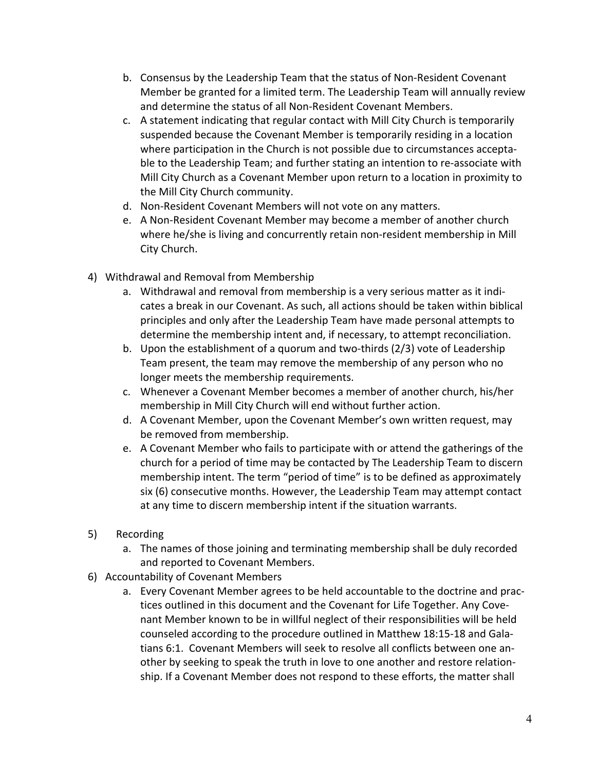- b. Consensus by the Leadership Team that the status of Non-Resident Covenant Member be granted for a limited term. The Leadership Team will annually review and determine the status of all Non-Resident Covenant Members.
- c. A statement indicating that regular contact with Mill City Church is temporarily suspended because the Covenant Member is temporarily residing in a location where participation in the Church is not possible due to circumstances acceptable to the Leadership Team; and further stating an intention to re-associate with Mill City Church as a Covenant Member upon return to a location in proximity to the Mill City Church community.
- d. Non-Resident Covenant Members will not vote on any matters.
- e. A Non-Resident Covenant Member may become a member of another church where he/she is living and concurrently retain non-resident membership in Mill City Church.
- 4) Withdrawal and Removal from Membership
	- a. Withdrawal and removal from membership is a very serious matter as it indicates a break in our Covenant. As such, all actions should be taken within biblical principles and only after the Leadership Team have made personal attempts to determine the membership intent and, if necessary, to attempt reconciliation.
	- b. Upon the establishment of a quorum and two-thirds (2/3) vote of Leadership Team present, the team may remove the membership of any person who no longer meets the membership requirements.
	- c. Whenever a Covenant Member becomes a member of another church, his/her membership in Mill City Church will end without further action.
	- d. A Covenant Member, upon the Covenant Member's own written request, may be removed from membership.
	- e. A Covenant Member who fails to participate with or attend the gatherings of the church for a period of time may be contacted by The Leadership Team to discern membership intent. The term "period of time" is to be defined as approximately six (6) consecutive months. However, the Leadership Team may attempt contact at any time to discern membership intent if the situation warrants.
- 5) Recording
	- a. The names of those joining and terminating membership shall be duly recorded and reported to Covenant Members.
- 6) Accountability of Covenant Members
	- a. Every Covenant Member agrees to be held accountable to the doctrine and practices outlined in this document and the Covenant for Life Together. Any Covenant Member known to be in willful neglect of their responsibilities will be held counseled according to the procedure outlined in Matthew 18:15-18 and Galatians 6:1. Covenant Members will seek to resolve all conflicts between one another by seeking to speak the truth in love to one another and restore relationship. If a Covenant Member does not respond to these efforts, the matter shall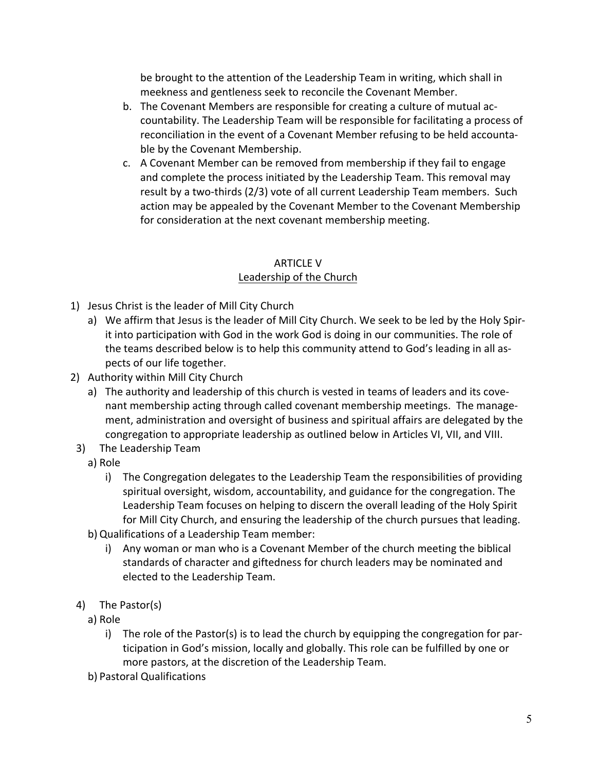be brought to the attention of the Leadership Team in writing, which shall in meekness and gentleness seek to reconcile the Covenant Member.

- b. The Covenant Members are responsible for creating a culture of mutual accountability. The Leadership Team will be responsible for facilitating a process of reconciliation in the event of a Covenant Member refusing to be held accountable by the Covenant Membership.
- c. A Covenant Member can be removed from membership if they fail to engage and complete the process initiated by the Leadership Team. This removal may result by a two-thirds (2/3) vote of all current Leadership Team members. Such action may be appealed by the Covenant Member to the Covenant Membership for consideration at the next covenant membership meeting.

# ARTICLE V

# Leadership of the Church

- 1) Jesus Christ is the leader of Mill City Church
	- a) We affirm that Jesus is the leader of Mill City Church. We seek to be led by the Holy Spirit into participation with God in the work God is doing in our communities. The role of the teams described below is to help this community attend to God's leading in all aspects of our life together.
- 2) Authority within Mill City Church
	- a) The authority and leadership of this church is vested in teams of leaders and its covenant membership acting through called covenant membership meetings. The management, administration and oversight of business and spiritual affairs are delegated by the congregation to appropriate leadership as outlined below in Articles VI, VII, and VIII.
- 3) The Leadership Team
	- a) Role
		- i) The Congregation delegates to the Leadership Team the responsibilities of providing spiritual oversight, wisdom, accountability, and guidance for the congregation. The Leadership Team focuses on helping to discern the overall leading of the Holy Spirit for Mill City Church, and ensuring the leadership of the church pursues that leading.
	- b) Qualifications of a Leadership Team member:
		- i) Any woman or man who is a Covenant Member of the church meeting the biblical standards of character and giftedness for church leaders may be nominated and elected to the Leadership Team.
- 4) The Pastor(s)
	- a) Role
		- i) The role of the Pastor(s) is to lead the church by equipping the congregation for participation in God's mission, locally and globally. This role can be fulfilled by one or more pastors, at the discretion of the Leadership Team.
	- b) Pastoral Qualifications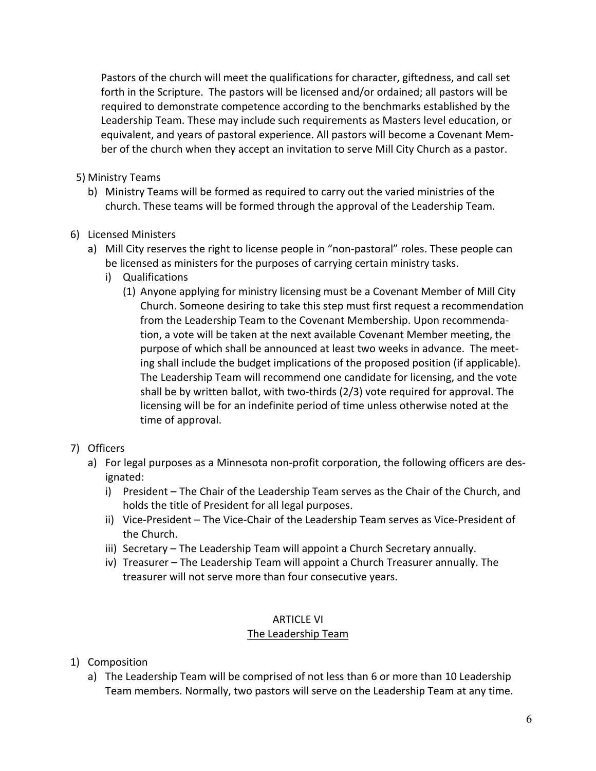Pastors of the church will meet the qualifications for character, giftedness, and call set forth in the Scripture. The pastors will be licensed and/or ordained; all pastors will be required to demonstrate competence according to the benchmarks established by the Leadership Team. These may include such requirements as Masters level education, or equivalent, and years of pastoral experience. All pastors will become a Covenant Member of the church when they accept an invitation to serve Mill City Church as a pastor.

- 5) Ministry Teams
	- b) Ministry Teams will be formed as required to carry out the varied ministries of the church. These teams will be formed through the approval of the Leadership Team.
- 6) Licensed Ministers
	- a) Mill City reserves the right to license people in "non-pastoral" roles. These people can be licensed as ministers for the purposes of carrying certain ministry tasks.
		- i) Qualifications
			- (1) Anyone applying for ministry licensing must be a Covenant Member of Mill City Church. Someone desiring to take this step must first request a recommendation from the Leadership Team to the Covenant Membership. Upon recommendation, a vote will be taken at the next available Covenant Member meeting, the purpose of which shall be announced at least two weeks in advance. The meeting shall include the budget implications of the proposed position (if applicable). The Leadership Team will recommend one candidate for licensing, and the vote shall be by written ballot, with two-thirds (2/3) vote required for approval. The licensing will be for an indefinite period of time unless otherwise noted at the time of approval.

# 7) Officers

- a) For legal purposes as a Minnesota non-profit corporation, the following officers are designated:
	- i) President The Chair of the Leadership Team serves as the Chair of the Church, and holds the title of President for all legal purposes.
	- ii) Vice-President The Vice-Chair of the Leadership Team serves as Vice-President of the Church.
	- iii) Secretary The Leadership Team will appoint a Church Secretary annually.
	- iv) Treasurer The Leadership Team will appoint a Church Treasurer annually. The treasurer will not serve more than four consecutive years.

#### ARTICLE VI

#### The Leadership Team

- 1) Composition
	- a) The Leadership Team will be comprised of not less than 6 or more than 10 Leadership Team members. Normally, two pastors will serve on the Leadership Team at any time.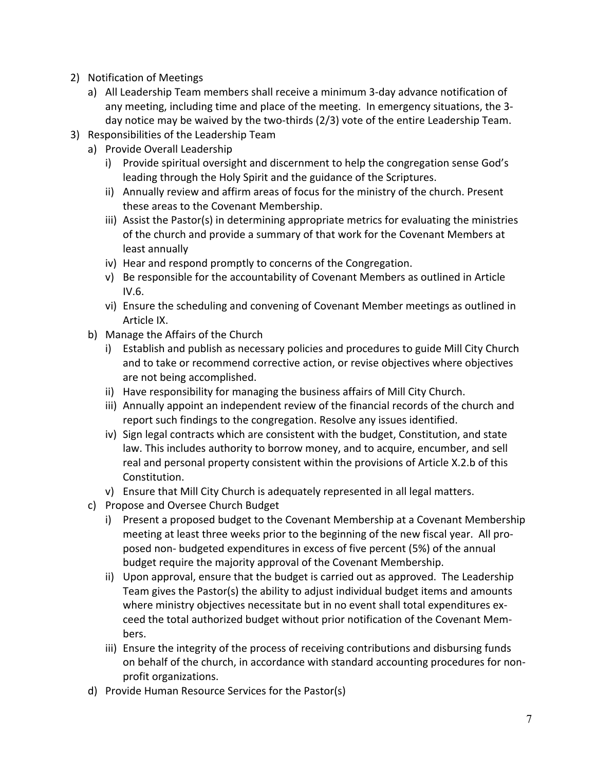- 2) Notification of Meetings
	- a) All Leadership Team members shall receive a minimum 3-day advance notification of any meeting, including time and place of the meeting. In emergency situations, the 3day notice may be waived by the two-thirds (2/3) vote of the entire Leadership Team.
- 3) Responsibilities of the Leadership Team
	- a) Provide Overall Leadership
		- i) Provide spiritual oversight and discernment to help the congregation sense God's leading through the Holy Spirit and the guidance of the Scriptures.
		- ii) Annually review and affirm areas of focus for the ministry of the church. Present these areas to the Covenant Membership.
		- iii) Assist the Pastor(s) in determining appropriate metrics for evaluating the ministries of the church and provide a summary of that work for the Covenant Members at least annually
		- iv) Hear and respond promptly to concerns of the Congregation.
		- v) Be responsible for the accountability of Covenant Members as outlined in Article IV.6.
		- vi) Ensure the scheduling and convening of Covenant Member meetings as outlined in Article IX.
	- b) Manage the Affairs of the Church
		- i) Establish and publish as necessary policies and procedures to guide Mill City Church and to take or recommend corrective action, or revise objectives where objectives are not being accomplished.
		- ii) Have responsibility for managing the business affairs of Mill City Church.
		- iii) Annually appoint an independent review of the financial records of the church and report such findings to the congregation. Resolve any issues identified.
		- iv) Sign legal contracts which are consistent with the budget, Constitution, and state law. This includes authority to borrow money, and to acquire, encumber, and sell real and personal property consistent within the provisions of Article X.2.b of this Constitution.
		- v) Ensure that Mill City Church is adequately represented in all legal matters.
	- c) Propose and Oversee Church Budget
		- i) Present a proposed budget to the Covenant Membership at a Covenant Membership meeting at least three weeks prior to the beginning of the new fiscal year. All proposed non- budgeted expenditures in excess of five percent (5%) of the annual budget require the majority approval of the Covenant Membership.
		- ii) Upon approval, ensure that the budget is carried out as approved. The Leadership Team gives the Pastor(s) the ability to adjust individual budget items and amounts where ministry objectives necessitate but in no event shall total expenditures exceed the total authorized budget without prior notification of the Covenant Members.
		- iii) Ensure the integrity of the process of receiving contributions and disbursing funds on behalf of the church, in accordance with standard accounting procedures for nonprofit organizations.
	- d) Provide Human Resource Services for the Pastor(s)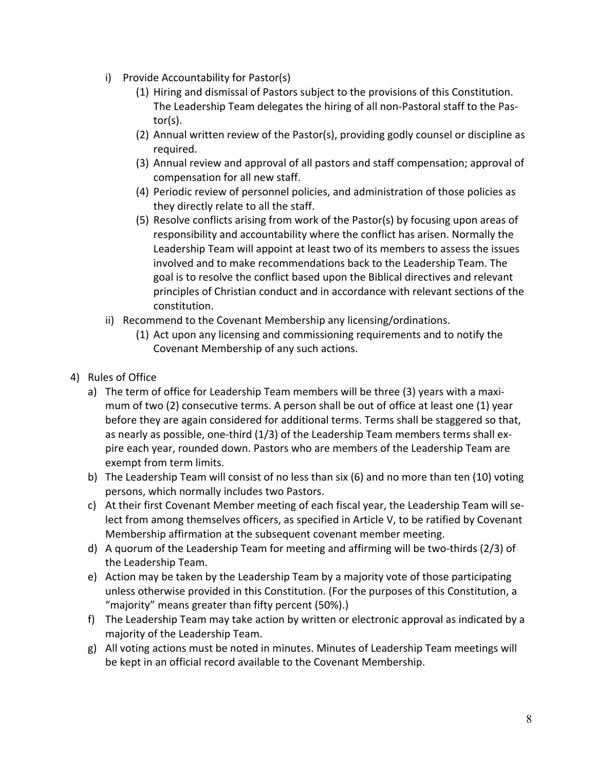- i) Provide Accountability for Pastor(s)
	- (1) Hiring and dismissal of Pastors subject to the provisions of this Constitution. The Leadership Team delegates the hiring of all non-Pastoral staff to the Pastor(s).
	- (2) Annual written review of the Pastor(s), providing godly counsel or discipline as required.
	- (3) Annual review and approval of all pastors and staff compensation; approval of compensation for all new staff.
	- (4) Periodic review of personnel policies, and administration of those policies as they directly relate to all the staff.
	- (5) Resolve conflicts arising from work of the Pastor(s) by focusing upon areas of responsibility and accountability where the conflict has arisen. Normally the Leadership Team will appoint at least two of its members to assess the issues involved and to make recommendations back to the Leadership Team. The goal is to resolve the conflict based upon the Biblical directives and relevant principles of Christian conduct and in accordance with relevant sections of the constitution.
- ii) Recommend to the Covenant Membership any licensing/ordinations.
	- (1) Act upon any licensing and commissioning requirements and to notify the Covenant Membership of any such actions.
- 4) Rules of Office
	- a) The term of office for Leadership Team members will be three (3) years with a maximum of two (2) consecutive terms. A person shall be out of office at least one (1) year before they are again considered for additional terms. Terms shall be staggered so that, as nearly as possible, one-third (1/3) of the Leadership Team members terms shall expire each year, rounded down. Pastors who are members of the Leadership Team are exempt from term limits.
	- b) The Leadership Team will consist of no less than six (6) and no more than ten (10) voting persons, which normally includes two Pastors.
	- c) At their first Covenant Member meeting of each fiscal year, the Leadership Team will select from among themselves officers, as specified in Article V, to be ratified by Covenant Membership affirmation at the subsequent covenant member meeting.
	- d) A quorum of the Leadership Team for meeting and affirming will be two-thirds (2/3) of the Leadership Team.
	- e) Action may be taken by the Leadership Team by a majority vote of those participating unless otherwise provided in this Constitution. (For the purposes of this Constitution, a "majority" means greater than fifty percent (50%).)
	- f) The Leadership Team may take action by written or electronic approval as indicated by a majority of the Leadership Team.
	- g) All voting actions must be noted in minutes. Minutes of Leadership Team meetings will be kept in an official record available to the Covenant Membership.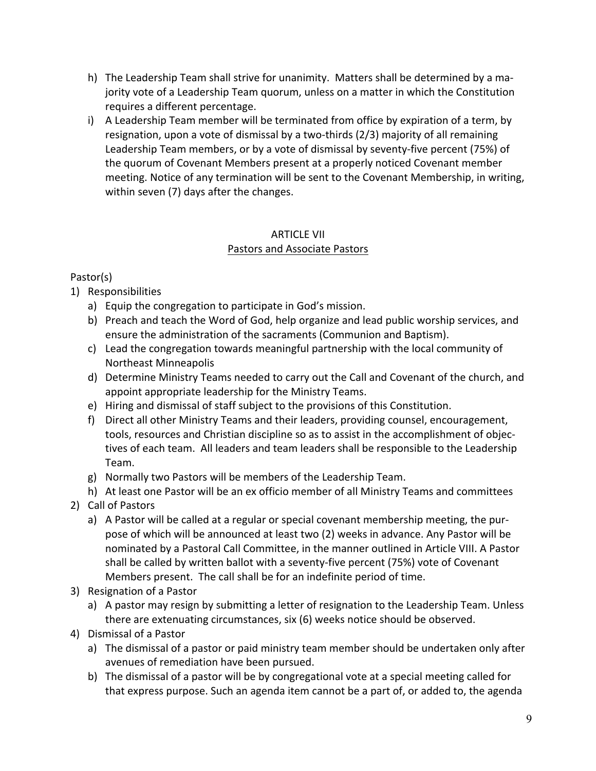- h) The Leadership Team shall strive for unanimity. Matters shall be determined by a majority vote of a Leadership Team quorum, unless on a matter in which the Constitution requires a different percentage.
- i) A Leadership Team member will be terminated from office by expiration of a term, by resignation, upon a vote of dismissal by a two-thirds (2/3) majority of all remaining Leadership Team members, or by a vote of dismissal by seventy-five percent (75%) of the quorum of Covenant Members present at a properly noticed Covenant member meeting. Notice of any termination will be sent to the Covenant Membership, in writing, within seven (7) days after the changes.

## ARTICLE VII Pastors and Associate Pastors

# Pastor(s)

- 1) Responsibilities
	- a) Equip the congregation to participate in God's mission.
	- b) Preach and teach the Word of God, help organize and lead public worship services, and ensure the administration of the sacraments (Communion and Baptism).
	- c) Lead the congregation towards meaningful partnership with the local community of Northeast Minneapolis
	- d) Determine Ministry Teams needed to carry out the Call and Covenant of the church, and appoint appropriate leadership for the Ministry Teams.
	- e) Hiring and dismissal of staff subject to the provisions of this Constitution.
	- f) Direct all other Ministry Teams and their leaders, providing counsel, encouragement, tools, resources and Christian discipline so as to assist in the accomplishment of objectives of each team. All leaders and team leaders shall be responsible to the Leadership Team.
	- g) Normally two Pastors will be members of the Leadership Team.
	- h) At least one Pastor will be an ex officio member of all Ministry Teams and committees
- 2) Call of Pastors
	- a) A Pastor will be called at a regular or special covenant membership meeting, the purpose of which will be announced at least two (2) weeks in advance. Any Pastor will be nominated by a Pastoral Call Committee, in the manner outlined in Article VIII. A Pastor shall be called by written ballot with a seventy-five percent (75%) vote of Covenant Members present. The call shall be for an indefinite period of time.
- 3) Resignation of a Pastor
	- a) A pastor may resign by submitting a letter of resignation to the Leadership Team. Unless there are extenuating circumstances, six (6) weeks notice should be observed.
- 4) Dismissal of a Pastor
	- a) The dismissal of a pastor or paid ministry team member should be undertaken only after avenues of remediation have been pursued.
	- b) The dismissal of a pastor will be by congregational vote at a special meeting called for that express purpose. Such an agenda item cannot be a part of, or added to, the agenda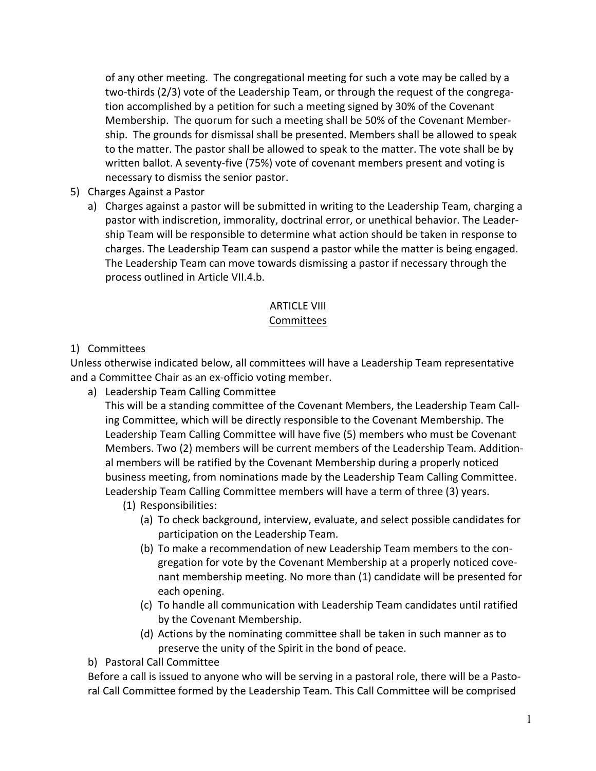of any other meeting. The congregational meeting for such a vote may be called by a two-thirds (2/3) vote of the Leadership Team, or through the request of the congregation accomplished by a petition for such a meeting signed by 30% of the Covenant Membership. The quorum for such a meeting shall be 50% of the Covenant Membership. The grounds for dismissal shall be presented. Members shall be allowed to speak to the matter. The pastor shall be allowed to speak to the matter. The vote shall be by written ballot. A seventy-five (75%) vote of covenant members present and voting is necessary to dismiss the senior pastor.

#### 5) Charges Against a Pastor

a) Charges against a pastor will be submitted in writing to the Leadership Team, charging a pastor with indiscretion, immorality, doctrinal error, or unethical behavior. The Leadership Team will be responsible to determine what action should be taken in response to charges. The Leadership Team can suspend a pastor while the matter is being engaged. The Leadership Team can move towards dismissing a pastor if necessary through the process outlined in Article VII.4.b.

## ARTICLE VIII Committees

#### 1) Committees

Unless otherwise indicated below, all committees will have a Leadership Team representative and a Committee Chair as an ex-officio voting member. 

a) Leadership Team Calling Committee

This will be a standing committee of the Covenant Members, the Leadership Team Calling Committee, which will be directly responsible to the Covenant Membership. The Leadership Team Calling Committee will have five (5) members who must be Covenant Members. Two (2) members will be current members of the Leadership Team. Additional members will be ratified by the Covenant Membership during a properly noticed business meeting, from nominations made by the Leadership Team Calling Committee. Leadership Team Calling Committee members will have a term of three (3) years.

- (1) Responsibilities:
	- (a) To check background, interview, evaluate, and select possible candidates for participation on the Leadership Team.
	- (b) To make a recommendation of new Leadership Team members to the congregation for vote by the Covenant Membership at a properly noticed covenant membership meeting. No more than (1) candidate will be presented for each opening.
	- (c) To handle all communication with Leadership Team candidates until ratified by the Covenant Membership.
	- (d) Actions by the nominating committee shall be taken in such manner as to preserve the unity of the Spirit in the bond of peace.

b) Pastoral Call Committee

Before a call is issued to anyone who will be serving in a pastoral role, there will be a Pastoral Call Committee formed by the Leadership Team. This Call Committee will be comprised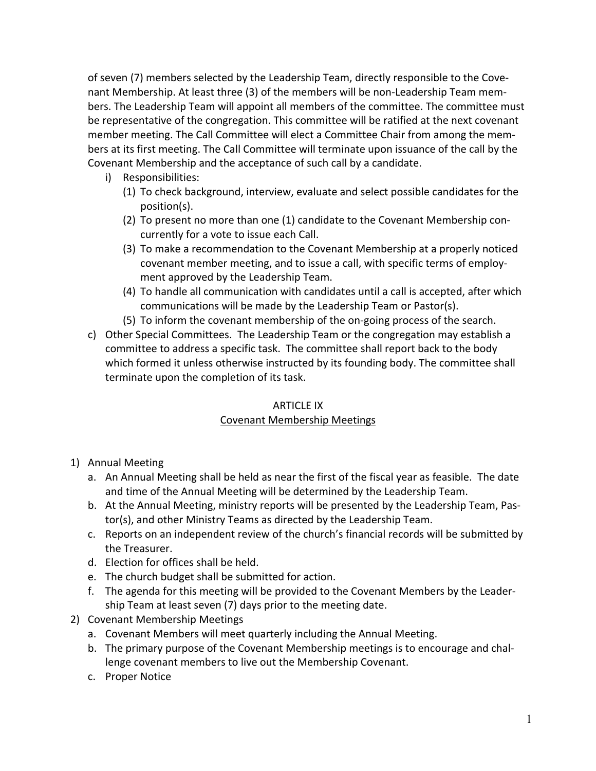of seven (7) members selected by the Leadership Team, directly responsible to the Covenant Membership. At least three (3) of the members will be non-Leadership Team members. The Leadership Team will appoint all members of the committee. The committee must be representative of the congregation. This committee will be ratified at the next covenant member meeting. The Call Committee will elect a Committee Chair from among the members at its first meeting. The Call Committee will terminate upon issuance of the call by the Covenant Membership and the acceptance of such call by a candidate.

- i) Responsibilities:
	- (1) To check background, interview, evaluate and select possible candidates for the position(s).
	- (2) To present no more than one (1) candidate to the Covenant Membership concurrently for a vote to issue each Call.
	- (3) To make a recommendation to the Covenant Membership at a properly noticed covenant member meeting, and to issue a call, with specific terms of employment approved by the Leadership Team.
	- (4) To handle all communication with candidates until a call is accepted, after which communications will be made by the Leadership Team or Pastor(s).
	- (5) To inform the covenant membership of the on-going process of the search.
- c) Other Special Committees. The Leadership Team or the congregation may establish a committee to address a specific task. The committee shall report back to the body which formed it unless otherwise instructed by its founding body. The committee shall terminate upon the completion of its task.

#### ARTICLE IX Covenant Membership Meetings

- 1) Annual Meeting
	- a. An Annual Meeting shall be held as near the first of the fiscal year as feasible. The date and time of the Annual Meeting will be determined by the Leadership Team.
	- b. At the Annual Meeting, ministry reports will be presented by the Leadership Team, Pastor(s), and other Ministry Teams as directed by the Leadership Team.
	- c. Reports on an independent review of the church's financial records will be submitted by the Treasurer.
	- d. Election for offices shall be held.
	- e. The church budget shall be submitted for action.
	- f. The agenda for this meeting will be provided to the Covenant Members by the Leadership Team at least seven (7) days prior to the meeting date.
- 2) Covenant Membership Meetings
	- a. Covenant Members will meet quarterly including the Annual Meeting.
	- b. The primary purpose of the Covenant Membership meetings is to encourage and challenge covenant members to live out the Membership Covenant.
	- c. Proper Notice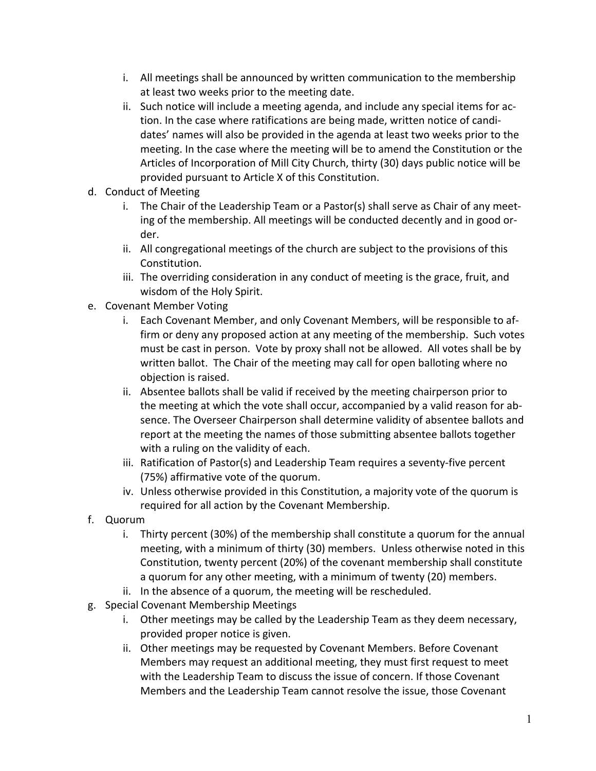- i. All meetings shall be announced by written communication to the membership at least two weeks prior to the meeting date.
- ii. Such notice will include a meeting agenda, and include any special items for action. In the case where ratifications are being made, written notice of candidates' names will also be provided in the agenda at least two weeks prior to the meeting. In the case where the meeting will be to amend the Constitution or the Articles of Incorporation of Mill City Church, thirty (30) days public notice will be provided pursuant to Article X of this Constitution.
- d. Conduct of Meeting
	- i. The Chair of the Leadership Team or a Pastor(s) shall serve as Chair of any meeting of the membership. All meetings will be conducted decently and in good order.
	- ii. All congregational meetings of the church are subject to the provisions of this Constitution.
	- iii. The overriding consideration in any conduct of meeting is the grace, fruit, and wisdom of the Holy Spirit.
- e. Covenant Member Voting
	- i. Each Covenant Member, and only Covenant Members, will be responsible to affirm or deny any proposed action at any meeting of the membership. Such votes must be cast in person. Vote by proxy shall not be allowed. All votes shall be by written ballot. The Chair of the meeting may call for open balloting where no objection is raised.
	- ii. Absentee ballots shall be valid if received by the meeting chairperson prior to the meeting at which the vote shall occur, accompanied by a valid reason for absence. The Overseer Chairperson shall determine validity of absentee ballots and report at the meeting the names of those submitting absentee ballots together with a ruling on the validity of each.
	- iii. Ratification of Pastor(s) and Leadership Team requires a seventy-five percent (75%) affirmative vote of the quorum.
	- iv. Unless otherwise provided in this Constitution, a majority vote of the quorum is required for all action by the Covenant Membership.
- f. Quorum
	- i. Thirty percent (30%) of the membership shall constitute a quorum for the annual meeting, with a minimum of thirty (30) members. Unless otherwise noted in this Constitution, twenty percent (20%) of the covenant membership shall constitute a quorum for any other meeting, with a minimum of twenty (20) members.
	- ii. In the absence of a quorum, the meeting will be rescheduled.
- g. Special Covenant Membership Meetings
	- i. Other meetings may be called by the Leadership Team as they deem necessary, provided proper notice is given.
	- ii. Other meetings may be requested by Covenant Members. Before Covenant Members may request an additional meeting, they must first request to meet with the Leadership Team to discuss the issue of concern. If those Covenant Members and the Leadership Team cannot resolve the issue, those Covenant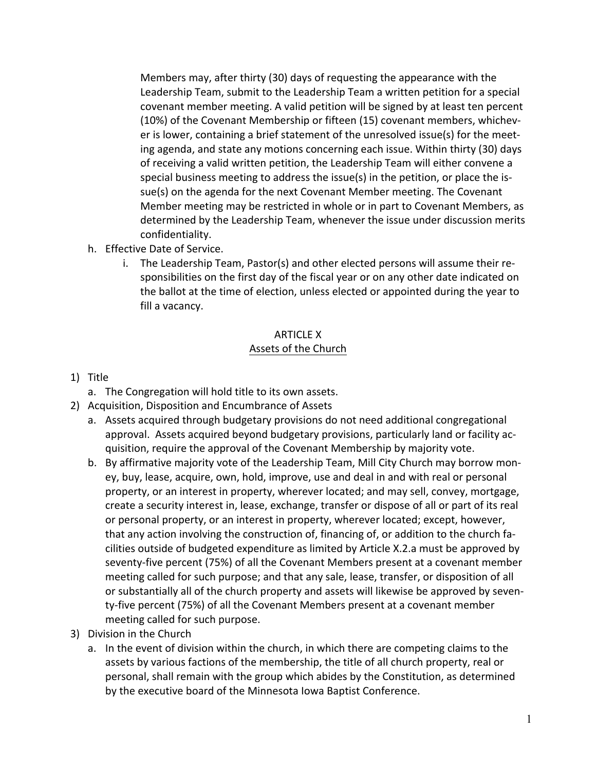Members may, after thirty (30) days of requesting the appearance with the Leadership Team, submit to the Leadership Team a written petition for a special covenant member meeting. A valid petition will be signed by at least ten percent (10%) of the Covenant Membership or fifteen (15) covenant members, whichever is lower, containing a brief statement of the unresolved issue(s) for the meeting agenda, and state any motions concerning each issue. Within thirty (30) days of receiving a valid written petition, the Leadership Team will either convene a special business meeting to address the issue(s) in the petition, or place the issue(s) on the agenda for the next Covenant Member meeting. The Covenant Member meeting may be restricted in whole or in part to Covenant Members, as determined by the Leadership Team, whenever the issue under discussion merits confidentiality.

- h. Effective Date of Service.
	- i. The Leadership Team, Pastor(s) and other elected persons will assume their responsibilities on the first day of the fiscal year or on any other date indicated on the ballot at the time of election, unless elected or appointed during the year to fill a vacancy.

# ARTICLE X Assets of the Church

#### 1) Title

- a. The Congregation will hold title to its own assets.
- 2) Acquisition, Disposition and Encumbrance of Assets
	- a. Assets acquired through budgetary provisions do not need additional congregational approval. Assets acquired beyond budgetary provisions, particularly land or facility acquisition, require the approval of the Covenant Membership by majority vote.
	- b. By affirmative majority vote of the Leadership Team, Mill City Church may borrow money, buy, lease, acquire, own, hold, improve, use and deal in and with real or personal property, or an interest in property, wherever located; and may sell, convey, mortgage, create a security interest in, lease, exchange, transfer or dispose of all or part of its real or personal property, or an interest in property, wherever located; except, however, that any action involving the construction of, financing of, or addition to the church facilities outside of budgeted expenditure as limited by Article X.2.a must be approved by seventy-five percent (75%) of all the Covenant Members present at a covenant member meeting called for such purpose; and that any sale, lease, transfer, or disposition of all or substantially all of the church property and assets will likewise be approved by seventy-five percent (75%) of all the Covenant Members present at a covenant member meeting called for such purpose.
- 3) Division in the Church
	- a. In the event of division within the church, in which there are competing claims to the assets by various factions of the membership, the title of all church property, real or personal, shall remain with the group which abides by the Constitution, as determined by the executive board of the Minnesota Iowa Baptist Conference.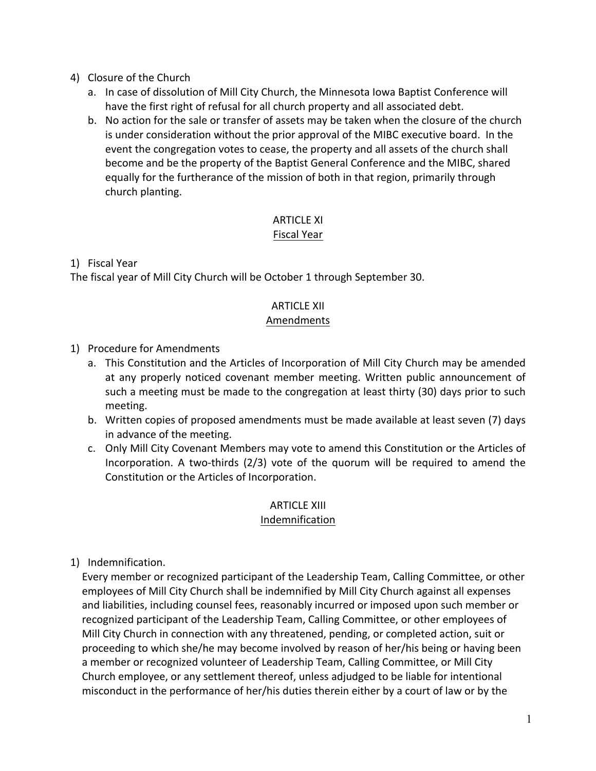- 4) Closure of the Church
	- a. In case of dissolution of Mill City Church, the Minnesota Iowa Baptist Conference will have the first right of refusal for all church property and all associated debt.
	- b. No action for the sale or transfer of assets may be taken when the closure of the church is under consideration without the prior approval of the MIBC executive board. In the event the congregation votes to cease, the property and all assets of the church shall become and be the property of the Baptist General Conference and the MIBC, shared equally for the furtherance of the mission of both in that region, primarily through church planting.

# ARTICLE XI

# Fiscal Year

1) Fiscal Year

The fiscal year of Mill City Church will be October 1 through September 30.

# ARTICLE XII

## Amendments

1) Procedure for Amendments

- a. This Constitution and the Articles of Incorporation of Mill City Church may be amended at any properly noticed covenant member meeting. Written public announcement of such a meeting must be made to the congregation at least thirty (30) days prior to such meeting.
- b. Written copies of proposed amendments must be made available at least seven (7) days in advance of the meeting.
- c. Only Mill City Covenant Members may vote to amend this Constitution or the Articles of Incorporation. A two-thirds (2/3) vote of the quorum will be required to amend the Constitution or the Articles of Incorporation.

# ARTICLE XIII

# Indemnification

1) Indemnification.

Every member or recognized participant of the Leadership Team, Calling Committee, or other employees of Mill City Church shall be indemnified by Mill City Church against all expenses and liabilities, including counsel fees, reasonably incurred or imposed upon such member or recognized participant of the Leadership Team, Calling Committee, or other employees of Mill City Church in connection with any threatened, pending, or completed action, suit or proceeding to which she/he may become involved by reason of her/his being or having been a member or recognized volunteer of Leadership Team, Calling Committee, or Mill City Church employee, or any settlement thereof, unless adjudged to be liable for intentional misconduct in the performance of her/his duties therein either by a court of law or by the